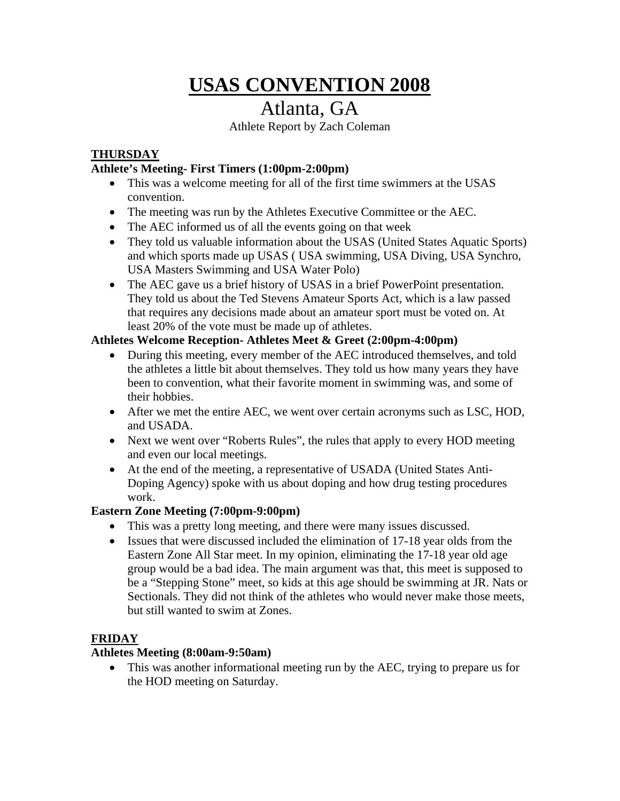# **USAS CONVENTION 2008**

# Atlanta, GA

Athlete Report by Zach Coleman

#### **THURSDAY**

#### **Athlete's Meeting- First Timers (1:00pm-2:00pm)**

- This was a welcome meeting for all of the first time swimmers at the USAS convention.
- The meeting was run by the Athletes Executive Committee or the AEC.
- The AEC informed us of all the events going on that week
- They told us valuable information about the USAS (United States Aquatic Sports) and which sports made up USAS ( USA swimming, USA Diving, USA Synchro, USA Masters Swimming and USA Water Polo)
- The AEC gave us a brief history of USAS in a brief PowerPoint presentation. They told us about the Ted Stevens Amateur Sports Act, which is a law passed that requires any decisions made about an amateur sport must be voted on. At least 20% of the vote must be made up of athletes.

#### **Athletes Welcome Reception- Athletes Meet & Greet (2:00pm-4:00pm)**

- During this meeting, every member of the AEC introduced themselves, and told the athletes a little bit about themselves. They told us how many years they have been to convention, what their favorite moment in swimming was, and some of their hobbies.
- After we met the entire AEC, we went over certain acronyms such as LSC, HOD, and USADA.
- Next we went over "Roberts Rules", the rules that apply to every HOD meeting and even our local meetings.
- At the end of the meeting, a representative of USADA (United States Anti-Doping Agency) spoke with us about doping and how drug testing procedures work.

#### **Eastern Zone Meeting (7:00pm-9:00pm)**

- This was a pretty long meeting, and there were many issues discussed.
- Issues that were discussed included the elimination of 17-18 year olds from the Eastern Zone All Star meet. In my opinion, eliminating the 17-18 year old age group would be a bad idea. The main argument was that, this meet is supposed to be a "Stepping Stone" meet, so kids at this age should be swimming at JR. Nats or Sectionals. They did not think of the athletes who would never make those meets, but still wanted to swim at Zones.

#### **FRIDAY**

#### **Athletes Meeting (8:00am-9:50am)**

• This was another informational meeting run by the AEC, trying to prepare us for the HOD meeting on Saturday.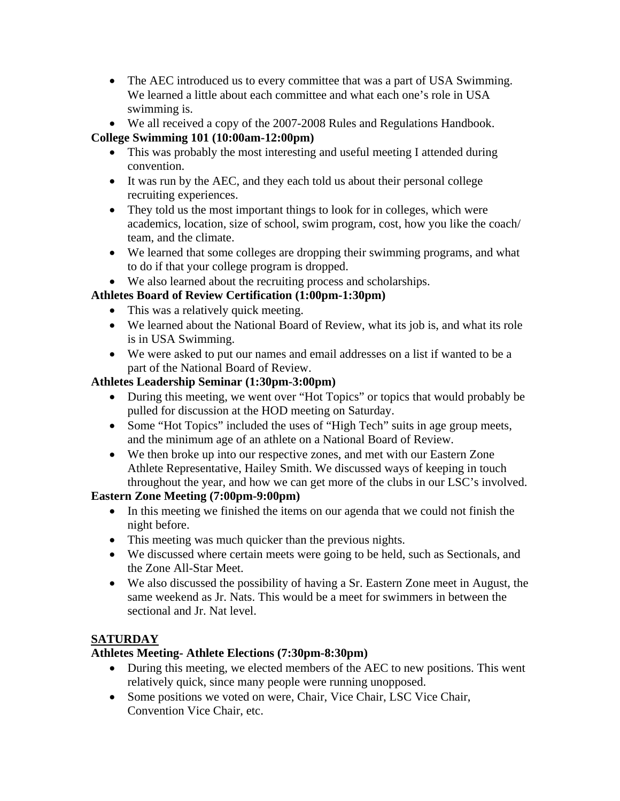- The AEC introduced us to every committee that was a part of USA Swimming. We learned a little about each committee and what each one's role in USA swimming is.
- We all received a copy of the 2007-2008 Rules and Regulations Handbook.

# **College Swimming 101 (10:00am-12:00pm)**

- This was probably the most interesting and useful meeting I attended during convention.
- It was run by the AEC, and they each told us about their personal college recruiting experiences.
- They told us the most important things to look for in colleges, which were academics, location, size of school, swim program, cost, how you like the coach/ team, and the climate.
- We learned that some colleges are dropping their swimming programs, and what to do if that your college program is dropped.
- We also learned about the recruiting process and scholarships.

# **Athletes Board of Review Certification (1:00pm-1:30pm)**

- This was a relatively quick meeting.
- We learned about the National Board of Review, what its job is, and what its role is in USA Swimming.
- We were asked to put our names and email addresses on a list if wanted to be a part of the National Board of Review.

# **Athletes Leadership Seminar (1:30pm-3:00pm)**

- During this meeting, we went over "Hot Topics" or topics that would probably be pulled for discussion at the HOD meeting on Saturday.
- Some "Hot Topics" included the uses of "High Tech" suits in age group meets, and the minimum age of an athlete on a National Board of Review.
- We then broke up into our respective zones, and met with our Eastern Zone Athlete Representative, Hailey Smith. We discussed ways of keeping in touch throughout the year, and how we can get more of the clubs in our LSC's involved.

# **Eastern Zone Meeting (7:00pm-9:00pm)**

- In this meeting we finished the items on our agenda that we could not finish the night before.
- This meeting was much quicker than the previous nights.
- We discussed where certain meets were going to be held, such as Sectionals, and the Zone All-Star Meet.
- We also discussed the possibility of having a Sr. Eastern Zone meet in August, the same weekend as Jr. Nats. This would be a meet for swimmers in between the sectional and Jr. Nat level.

# **SATURDAY**

# **Athletes Meeting- Athlete Elections (7:30pm-8:30pm)**

- During this meeting, we elected members of the AEC to new positions. This went relatively quick, since many people were running unopposed.
- Some positions we voted on were, Chair, Vice Chair, LSC Vice Chair, Convention Vice Chair, etc.